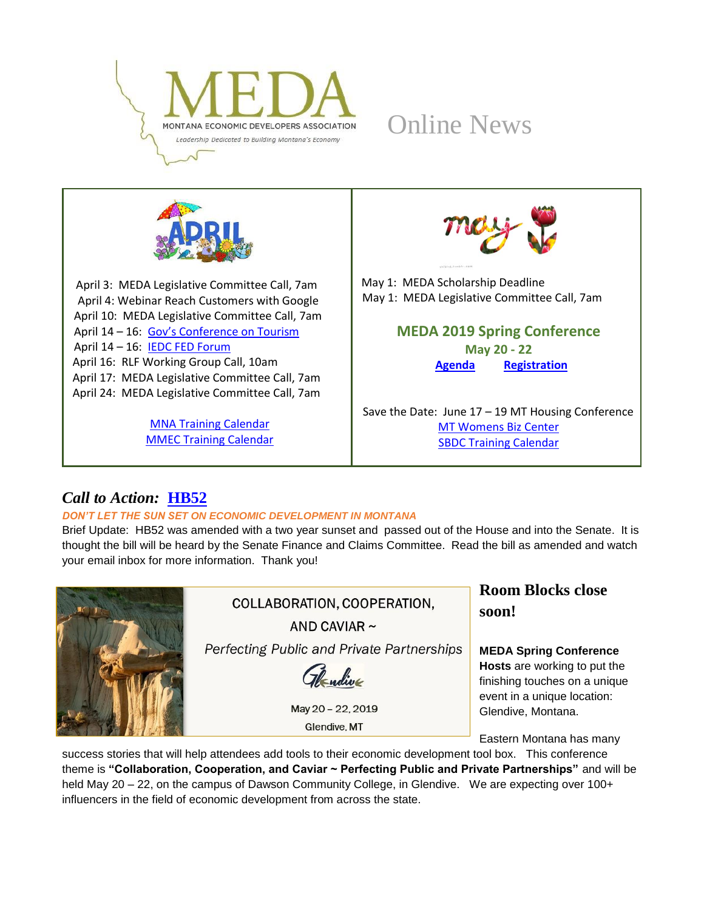

# Online News



April 3: MEDA Legislative Committee Call, 7am April 4: Webinar Reach Customers with Google April 10: MEDA Legislative Committee Call, 7am April 14 – 16: [Gov's Conference on Tourism](https://marketmt.com/Events/GovernorsConference/Welcome) April 14 – 16: [IEDC FED Forum](https://www.iedcevents.org/2019FEDForum/index.html) April 16: RLF Working Group Call, 10am April 17: MEDA Legislative Committee Call, 7am April 24: MEDA Legislative Committee Call, 7am

> [MNA Training Calendar](http://www.mtnonprofit.org/17training/) [MMEC Training Calendar](https://www.cvent.com/c/calendar/180314d2-3840-480c-9468-df6c286a789b)



May 1: MEDA Scholarship Deadline May 1: MEDA Legislative Committee Call, 7am

> **MEDA 2019 Spring Conference May 20 - 22 [Agenda](http://www.medamembers.org/media/userfiles/subsite_48/files/MEDASpring2019Agenda.pdf) [Registration](https://app.mt.gov/cgi-bin/confreg2/index.cgi?CONFERENCE_ID=7485&ACTION=INTRO)**

Save the Date: June 17 – 19 MT Housing Conference [MT Womens Biz Center](https://www.prosperamt.org/calendar) [SBDC Training Calendar](http://sbdc.mt.gov/trainings)

# *Call to Action:* **[HB52](https://leg.mt.gov/bills/2019/billpdf/HB0052.pdf)**

### *DON'T LET THE SUN SET ON ECONOMIC DEVELOPMENT IN MONTANA*

Brief Update: HB52 was amended with a two year sunset and passed out of the House and into the Senate. It is thought the bill will be heard by the Senate Finance and Claims Committee. Read the bill as amended and watch your email inbox for more information. Thank you!



success stories that will help attendees add tools to their economic development tool box. This conference theme is **"Collaboration, Cooperation, and Caviar ~ Perfecting Public and Private Partnerships"** and will be held May 20 – 22, on the campus of Dawson Community College, in Glendive. We are expecting over 100+ influencers in the field of economic development from across the state.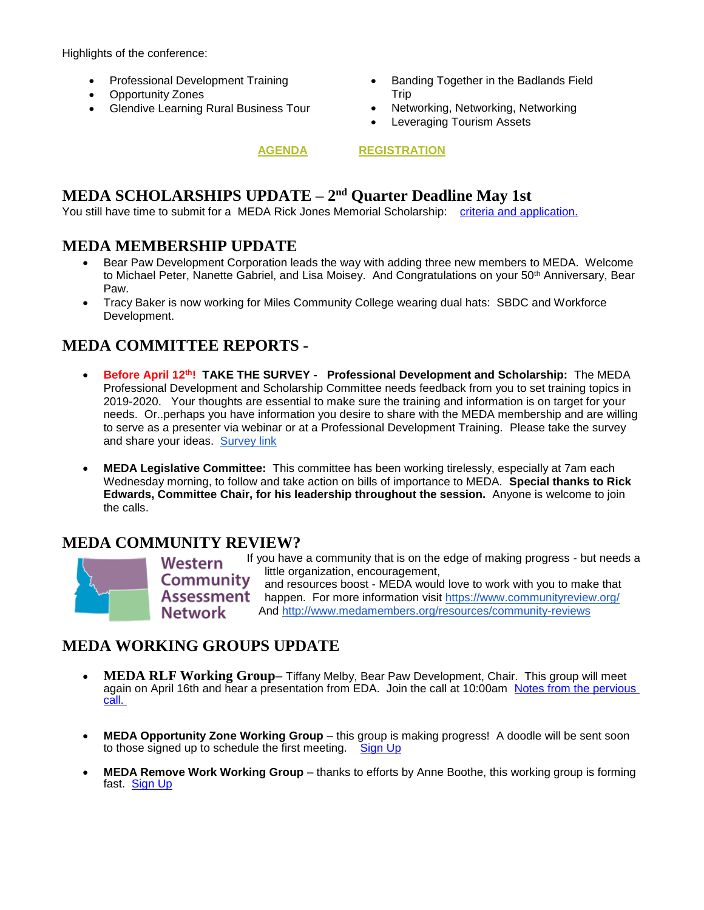Highlights of the conference:

- Professional Development Training
- Opportunity Zones
- Glendive Learning Rural Business Tour
- Banding Together in the Badlands Field Trip
- Networking, Networking, Networking
- Leveraging Tourism Assets

**[AGENDA](http://www.medamembers.org/media/userfiles/subsite_48/files/MEDASpring2019Agenda.pdf) [REGISTRATION](https://app.mt.gov/cgi-bin/confreg2/index.cgi?CONFERENCE_ID=7485&ACTION=INTRO)**

# **MEDA SCHOLARSHIPS UPDATE – 2 nd Quarter Deadline May 1st**

You still have time to submit for a MEDA Rick Jones Memorial Scholarship: criteria and application.

### **MEDA MEMBERSHIP UPDATE**

- Bear Paw Development Corporation leads the way with adding three new members to MEDA. Welcome to Michael Peter, Nanette Gabriel, and Lisa Moisey. And Congratulations on your 50<sup>th</sup> Anniversary, Bear Paw.
- Tracy Baker is now working for Miles Community College wearing dual hats: SBDC and Workforce Development.

# **MEDA COMMITTEE REPORTS -**

- **Before April 12th! TAKE THE SURVEY Professional Development and Scholarship:** The MEDA Professional Development and Scholarship Committee needs feedback from you to set training topics in 2019-2020. Your thoughts are essential to make sure the training and information is on target for your needs. Or..perhaps you have information you desire to share with the MEDA membership and are willing to serve as a presenter via webinar or at a Professional Development Training. Please take the survey and share your ideas. [Survey link](https://www.surveymonkey.com/r/MEDAPD19)
- **MEDA Legislative Committee:** This committee has been working tirelessly, especially at 7am each Wednesday morning, to follow and take action on bills of importance to MEDA. **Special thanks to Rick Edwards, Committee Chair, for his leadership throughout the session.** Anyone is welcome to join the calls.

### **MEDA COMMUNITY REVIEW?**

If you have a community that is on the edge of making progress - but needs a Western little organization, encouragement, **Community** and resources boost - MEDA would love to work with you to make that Assessment happen. For more information visit https://www.communityreview.org/ And <http://www.medamembers.org/resources/community-reviews> **Network** 

# **MEDA WORKING GROUPS UPDATE**

- **MEDA RLF Working Group–** Tiffany Melby, Bear Paw Development, Chair. This group will meet again on April 16th and hear a presentation from EDA. Join the call at 10:00am Notes from the pervious [call.](http://www.medamembers.org/working-groups/revolving-loan-fund/?d=compactt-2018)
- **MEDA Opportunity Zone Working Group** this group is making progress! A doodle will be sent soon to those signed up to schedule the first meeting. [Sign Up](https://docs.google.com/spreadsheets/d/1LSndN2TShmuGBvmHL_zEO_nrJMIBCsOdCyxqNtKj_QY/edit?usp=sharing)
- **MEDA Remove Work Working Group** thanks to efforts by Anne Boothe, this working group is forming fast. [Sign Up](https://docs.google.com/spreadsheets/d/1a7wMYlgNbhEe79n7egrBAlwX0SbKRdM1SbQ9ctZOHdo/edit?usp=sharing)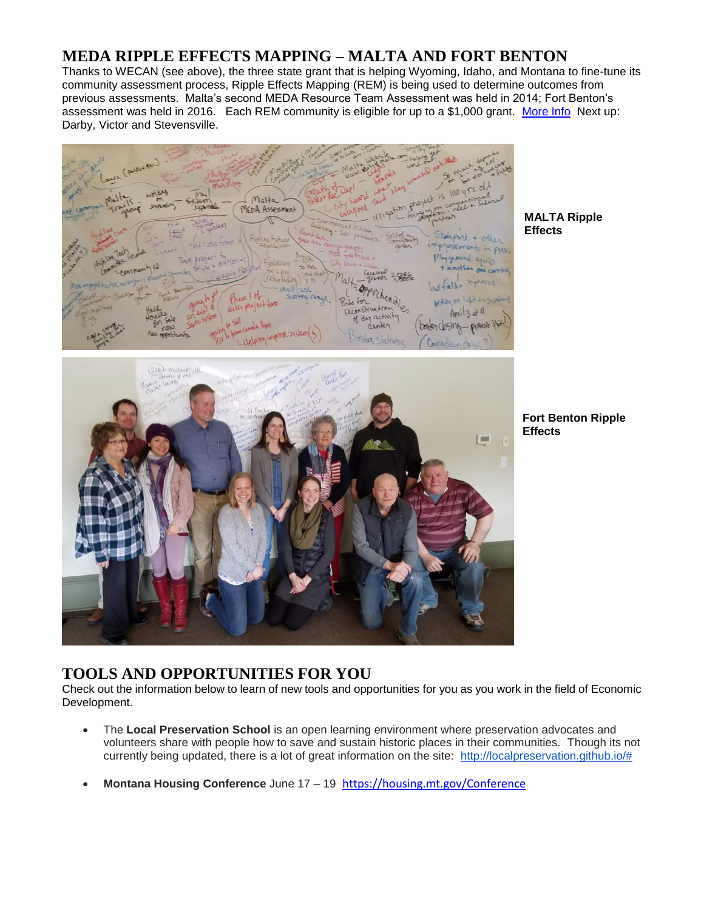# **MEDA RIPPLE EFFECTS MAPPING – MALTA AND FORT BENTON**

Thanks to WECAN (see above), the three state grant that is helping Wyoming, Idaho, and Montana to fine-tune its community assessment process, Ripple Effects Mapping (REM) is being used to determine outcomes from previous assessments. Malta's second MEDA Resource Team Assessment was held in 2014; Fort Benton's assessment was held in 2016. Each REM community is eligible for up to a \$1,000 grant. [More Info](http://www.medamembers.org/resources/resource-team-assessments/?d=compact&sort=publishDate) Next up: Darby, Victor and Stevensville.



**MALTA Ripple Effects**



**Fort Benton Ripple Effects**

# **TOOLS AND OPPORTUNITIES FOR YOU**

Check out the information below to learn of new tools and opportunities for you as you work in the field of Economic Development.

- The **Local Preservation School** is an open learning environment where preservation advocates and volunteers share with people how to save and sustain historic places in their communities. Though its not currently being updated, there is a lot of great information on the site: [http://localpreservation.github.io/#](http://localpreservation.github.io/)
- **Montana Housing Conference** June 17 19 <https://housing.mt.gov/Conference>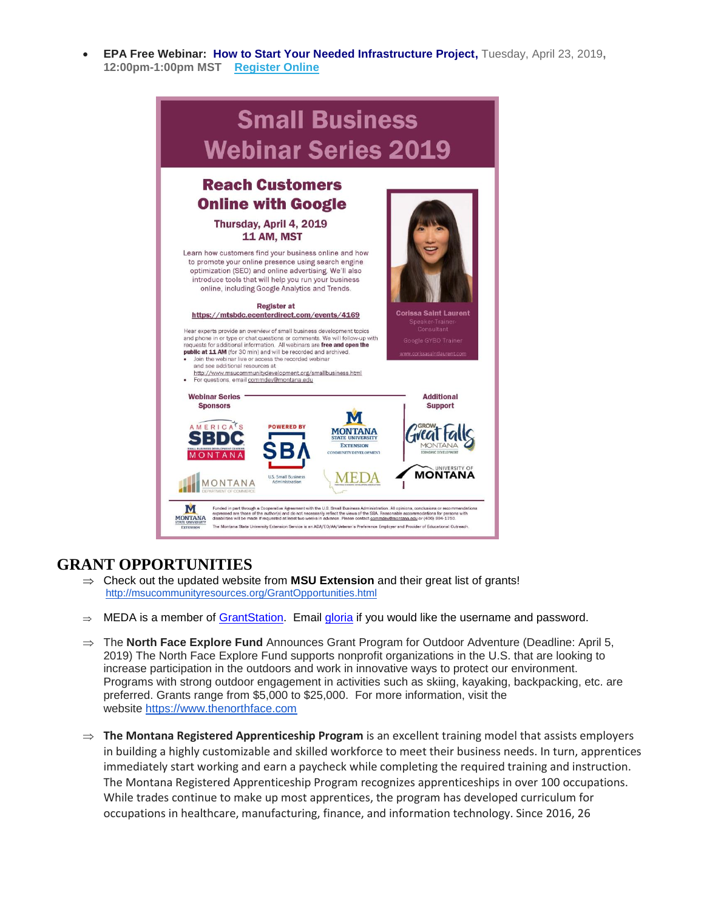• **EPA Free Webinar: How to Start Your Needed Infrastructure Project,** Tuesday, April 23, 2019**, 12:00pm-1:00pm MST [Register Online](https://gcc01.safelinks.protection.outlook.com/?url=https%3A%2F%2Fsyr.us11.list-manage.com%2Ftrack%2Fclick%3Fu%3D7dfb09ad16771349bbdb43da4%26id%3Dafe18297fc%26e%3Dfa22a188ed&data=02%7C01%7CDCook3%40mt.gov%7C649f4acb11054da7c11b08d6b13a1edf%7C07a94c98f30f4abbbd7ed63f8720dc02%7C0%7C0%7C636891260523753590&sdata=w4726RVcE32gYBU%2BDJ8g8lDOPendY9Oudf%2BSd9m9%2FjE%3D&reserved=0)**



# **GRANT OPPORTUNITIES**

- $\Rightarrow$  Check out the updated website from **MSU Extension** and their great list of grants! <http://msucommunityresources.org/GrantOpportunities.html>
- MEDA is a member of [GrantStation.](https://grantstation.com/index.asp) Email [gloria](mailto:gloria@medamembers.org) if you would like the username and password.
- $\Rightarrow$  The **North Face Explore Fund** Announces Grant Program for Outdoor Adventure (Deadline: April 5, 2019) The North Face Explore Fund supports nonprofit organizations in the U.S. that are looking to increase participation in the outdoors and work in innovative ways to protect our environment. Programs with strong outdoor engagement in activities such as skiing, kayaking, backpacking, etc. are preferred. Grants range from \$5,000 to \$25,000. For more information, visit the website [https://www.thenorthface.com](https://www.thenorthface.com/)
- $\Rightarrow$  **The Montana Registered Apprenticeship Program** is an excellent training model that assists employers in building a highly customizable and skilled workforce to meet their business needs. In turn, apprentices immediately start working and earn a paycheck while completing the required training and instruction. The Montana Registered Apprenticeship Program recognizes apprenticeships in over 100 occupations. While trades continue to make up most apprentices, the program has developed curriculum for occupations in healthcare, manufacturing, finance, and information technology. Since 2016, 26